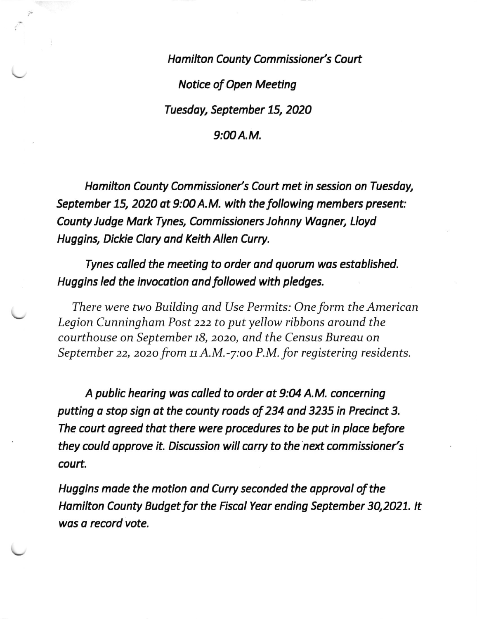Hamilton County Commissioner's Court Notice of Open Meeting Tuesday, September 15, 2020

 $9:00A.M.$ 

Hamilton County Commissioner's Court met in session on Tuesday, September 15, 2020 at 9:00 A.M. with the following members present: County Judge Mark Tynes, Commissioners Johnny Wagner, Lloyd Huggins, Dickie Clory ond Keith Allen Curry.

Tynes colled the meeting to order ond quorum wos estoblished. Huggins led the invocotion ond followed with pledges.

There were two Building and Use Permits: One form the American Legion Cunningham Post 222 to put yellow ribbons around the courthouse on September 18, 2020, and the Census Bureau on September 22, 2020 from  $11$  A.M.-7:00 P.M. for registering residents.

A public hearing was called to order at 9:04 A.M. concerning putting a stop sign at the county roads of 234 and 3235 in Precinct 3. The court agreed that there were procedures to be put in place before they could approve it. Discussion will carry to the next commissioner's court.

Huggins mode the motion ond Curry seconded the opprovol of the Hamilton County Budget for the Fiscal Year ending September 30,2021. It wos o record vote.